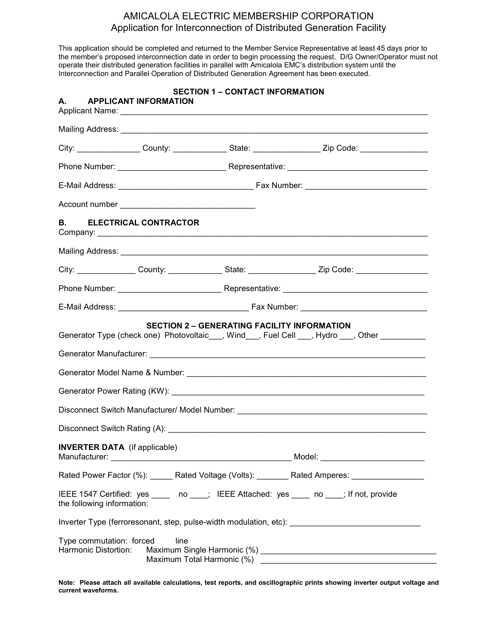## AMICALOLA ELECTRIC MEMBERSHIP CORPORATION Application for Interconnection of Distributed Generation Facility

This application should be completed and returned to the Member Service Representative at least 45 days prior to the member's proposed interconnection date in order to begin processing the request. D/G Owner/Operator must not operate their distributed generation facilities in parallel with Amicalola EMC's distribution system until the Interconnection and Parallel Operation of Distributed Generation Agreement has been executed.

|                                                          | <b>SECTION 1 - CONTACT INFORMATION</b><br>A. APPLICANT INFORMATION |                                                    |  |                                                                                                                                                                                                                                |  |
|----------------------------------------------------------|--------------------------------------------------------------------|----------------------------------------------------|--|--------------------------------------------------------------------------------------------------------------------------------------------------------------------------------------------------------------------------------|--|
|                                                          |                                                                    |                                                    |  |                                                                                                                                                                                                                                |  |
|                                                          |                                                                    |                                                    |  | City: City: County: County: State: County: City: Zip Code: County: City: County: County: County: County: County: County: County: County: County: County: County: County: County: County: County: County: County: County: Count |  |
|                                                          |                                                                    |                                                    |  |                                                                                                                                                                                                                                |  |
|                                                          |                                                                    |                                                    |  |                                                                                                                                                                                                                                |  |
|                                                          |                                                                    |                                                    |  |                                                                                                                                                                                                                                |  |
|                                                          | <b>B. ELECTRICAL CONTRACTOR</b>                                    |                                                    |  |                                                                                                                                                                                                                                |  |
|                                                          |                                                                    |                                                    |  |                                                                                                                                                                                                                                |  |
|                                                          |                                                                    |                                                    |  | City: ________________County: ________________State: ___________________Zip Code: __________________                                                                                                                           |  |
|                                                          |                                                                    |                                                    |  |                                                                                                                                                                                                                                |  |
|                                                          |                                                                    |                                                    |  |                                                                                                                                                                                                                                |  |
|                                                          |                                                                    | <b>SECTION 2 - GENERATING FACILITY INFORMATION</b> |  | Generator Type (check one) Photovoltaic___, Wind___, Fuel Cell ___, Hydro ___, Other _________                                                                                                                                 |  |
|                                                          |                                                                    |                                                    |  |                                                                                                                                                                                                                                |  |
|                                                          |                                                                    |                                                    |  |                                                                                                                                                                                                                                |  |
|                                                          |                                                                    |                                                    |  | Disconnect Switch Manufacturer/ Model Number: ___________________________________                                                                                                                                              |  |
|                                                          |                                                                    |                                                    |  |                                                                                                                                                                                                                                |  |
| Manufacturer:                                            | <b>INVERTER DATA</b> (if applicable)                               |                                                    |  |                                                                                                                                                                                                                                |  |
|                                                          |                                                                    |                                                    |  | Rated Power Factor (%): Rated Voltage (Volts): Rated Amperes: Nated Amperes:                                                                                                                                                   |  |
|                                                          | the following information:                                         |                                                    |  | IEEE 1547 Certified: yes _____ no ____; IEEE Attached: yes ____ no ____; If not, provide                                                                                                                                       |  |
|                                                          |                                                                    |                                                    |  | Inverter Type (ferroresonant, step, pulse-width modulation, etc): __________________________________                                                                                                                           |  |
| Type commutation: forced<br>line<br>Harmonic Distortion: |                                                                    |                                                    |  |                                                                                                                                                                                                                                |  |

Note: Please attach all available calculations, test reports, and oscillographic prints showing inverter output voltage and current waveforms.